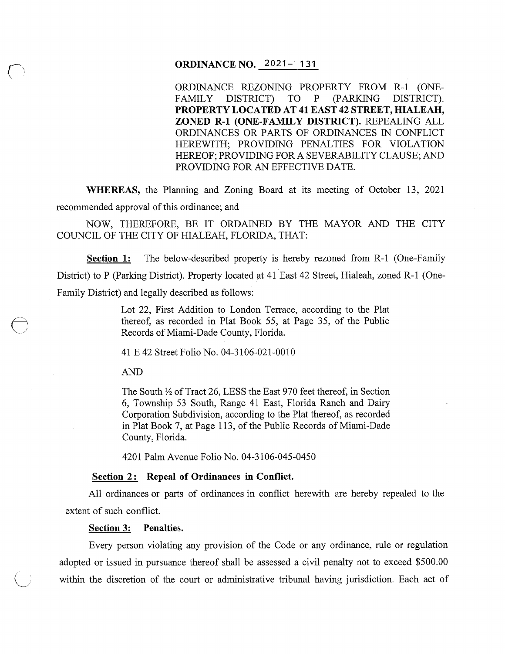# **ORDINANCE NO.** 2021- **131**

ORDINANCE REZONING PROPERTY FROM R-1 (ONE-FAMILY DISTRICT) TO P (PARKING DISTRICT). **PROPERTY LOCATED AT 41EAST42 STREET, HIALEAH, ZONED R-1 (ONE-FAMILY DISTRICT).** REPEALING ALL ORDINANCES OR PARTS OF ORDINANCES IN CONFLICT HEREWITH; PROVIDING PENALTIES FOR VIOLATION HEREOF; PROVIDING FOR A SEVERABILITY CLAUSE; AND PROVIDING FOR AN EFFECTIVE DATE.

**WHEREAS,** the Planning and Zoning Board at its meeting of October 13, 2021 recommended approval of this ordinance; and

NOW, THEREFORE, BE IT ORDAINED BY THE MAYOR AND THE CITY COUNCIL OF THE CITY OF HIALEAH, FLORIDA, THAT:

**Section 1:** The below-described property is hereby rezoned from R-1 (One-Family District) to P (Parking District). Property located at 41 East 42 Street, Hialeah, zoned R-1 (One-Family District) and legally described as follows:

> Lot 22, First Addition to London Terrace, according to the Plat thereof, as recorded in Plat Book 55, at Page 35, of the Public Records of Miami-Dade County, Florida.

41E42 Street Folio No. 04-3106-021-0010

AND

The South  $\frac{1}{2}$  of Tract 26, LESS the East 970 feet thereof, in Section 6, Township 53 South, Range 41 East, Florida Ranch and Dairy Corporation Subdivision, according to the Plat thereof, as recorded in Plat Book 7, at Page 113, of the Public Records of Miami-Dade County, Florida.

4201 Palm Avenue Folio No. 04-3106-045-0450

#### **<u>Section 2:</u> Repeal of Ordinances in Conflict.**

All ordinances or parts of ordinances in conflict herewith are hereby repealed to the extent of such conflict.

#### **Section 3: Penalties.**

Every person violating any provision of the Code or any ordinance, rule or regulation adopted or issued in pursuance thereof shall be assessed a civil penalty not to exceed \$500.00 within the discretion of the court or administrative tribunal having jurisdiction. Each act of